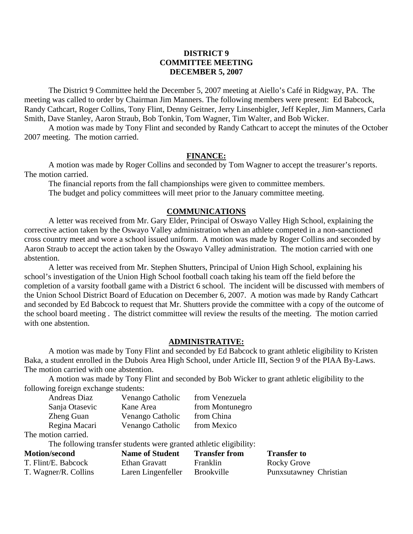#### **DISTRICT 9 COMMITTEE MEETING DECEMBER 5, 2007**

 The District 9 Committee held the December 5, 2007 meeting at Aiello's Café in Ridgway, PA. The meeting was called to order by Chairman Jim Manners. The following members were present: Ed Babcock, Randy Cathcart, Roger Collins, Tony Flint, Denny Geitner, Jerry Linsenbigler, Jeff Kepler, Jim Manners, Carla Smith, Dave Stanley, Aaron Straub, Bob Tonkin, Tom Wagner, Tim Walter, and Bob Wicker.

 A motion was made by Tony Flint and seconded by Randy Cathcart to accept the minutes of the October 2007 meeting. The motion carried.

#### **FINANCE:**

A motion was made by Roger Collins and seconded by Tom Wagner to accept the treasurer's reports. The motion carried.

 The financial reports from the fall championships were given to committee members. The budget and policy committees will meet prior to the January committee meeting.

### **COMMUNICATIONS**

 A letter was received from Mr. Gary Elder, Principal of Oswayo Valley High School, explaining the corrective action taken by the Oswayo Valley administration when an athlete competed in a non-sanctioned cross country meet and wore a school issued uniform. A motion was made by Roger Collins and seconded by Aaron Straub to accept the action taken by the Oswayo Valley administration. The motion carried with one abstention.

 A letter was received from Mr. Stephen Shutters, Principal of Union High School, explaining his school's investigation of the Union High School football coach taking his team off the field before the completion of a varsity football game with a District 6 school. The incident will be discussed with members of the Union School District Board of Education on December 6, 2007. A motion was made by Randy Cathcart and seconded by Ed Babcock to request that Mr. Shutters provide the committee with a copy of the outcome of the school board meeting . The district committee will review the results of the meeting. The motion carried with one abstention.

#### **ADMINISTRATIVE:**

 A motion was made by Tony Flint and seconded by Ed Babcock to grant athletic eligibility to Kristen Baka, a student enrolled in the Dubois Area High School, under Article III, Section 9 of the PIAA By-Laws. The motion carried with one abstention.

 A motion was made by Tony Flint and seconded by Bob Wicker to grant athletic eligibility to the following foreign exchange students:

| Andreas Diaz      | Venango Catholic | from Venezuela  |
|-------------------|------------------|-----------------|
| Sanja Otasevic    | Kane Area        | from Montunegro |
| <b>Zheng Guan</b> | Venango Catholic | from China      |
| Regina Macari     | Venango Catholic | from Mexico     |
|                   |                  |                 |

The motion carried.

The following transfer students were granted athletic eligibility:

| <b>Motion/second</b> | <b>Name of Student</b> | <b>Transfer from</b> | <b>Transfer to</b>     |
|----------------------|------------------------|----------------------|------------------------|
| T. Flint/E. Babcock  | Ethan Gravatt          | Franklin             | Rocky Grove            |
| T. Wagner/R. Collins | Laren Lingenfeller     | <b>Brookville</b>    | Punxsutawney Christian |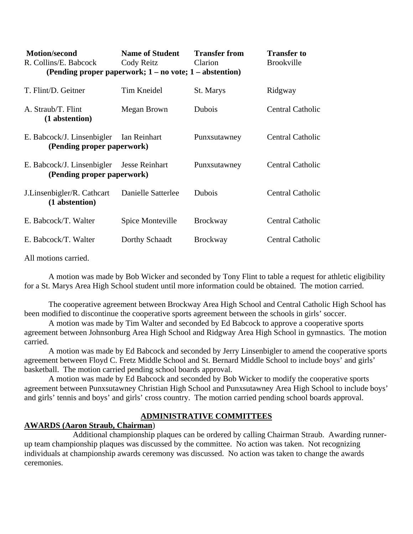| <b>Motion/second</b><br>R. Collins/E. Babcock<br>(Pending proper paperwork; $1 - no$ vote; $1 - ab$ s abstention) | <b>Name of Student</b><br>Cody Reitz | <b>Transfer from</b><br>Clarion | <b>Transfer to</b><br><b>Brookville</b> |
|-------------------------------------------------------------------------------------------------------------------|--------------------------------------|---------------------------------|-----------------------------------------|
| T. Flint/D. Geitner                                                                                               | Tim Kneidel                          | St. Marys                       | Ridgway                                 |
| A. Straub/T. Flint<br>(1 abstention)                                                                              | Megan Brown                          | Dubois                          | <b>Central Catholic</b>                 |
| E. Babcock/J. Linsenbigler<br>(Pending proper paperwork)                                                          | Ian Reinhart                         | Punxsutawney                    | Central Catholic                        |
| E. Babcock/J. Linsenbigler Jesse Reinhart<br>(Pending proper paperwork)                                           |                                      | Punxsutawney                    | Central Catholic                        |
| J. Linsenbigler/R. Cathcart<br>(1 abstention)                                                                     | Danielle Satterlee                   | Dubois                          | <b>Central Catholic</b>                 |
| E. Babcock/T. Walter                                                                                              | Spice Monteville                     | <b>Brockway</b>                 | <b>Central Catholic</b>                 |
| E. Babcock/T. Walter                                                                                              | Dorthy Schaadt                       | <b>Brockway</b>                 | Central Catholic                        |

All motions carried.

 A motion was made by Bob Wicker and seconded by Tony Flint to table a request for athletic eligibility for a St. Marys Area High School student until more information could be obtained. The motion carried.

 The cooperative agreement between Brockway Area High School and Central Catholic High School has been modified to discontinue the cooperative sports agreement between the schools in girls' soccer.

 A motion was made by Tim Walter and seconded by Ed Babcock to approve a cooperative sports agreement between Johnsonburg Area High School and Ridgway Area High School in gymnastics. The motion carried.

 A motion was made by Ed Babcock and seconded by Jerry Linsenbigler to amend the cooperative sports agreement between Floyd C. Fretz Middle School and St. Bernard Middle School to include boys' and girls' basketball. The motion carried pending school boards approval.

 A motion was made by Ed Babcock and seconded by Bob Wicker to modify the cooperative sports agreement between Punxsutawney Christian High School and Punxsutawney Area High School to include boys' and girls' tennis and boys' and girls' cross country. The motion carried pending school boards approval.

### **ADMINISTRATIVE COMMITTEES**

#### **AWARDS (Aaron Straub, Chairman**)

 Additional championship plaques can be ordered by calling Chairman Straub. Awarding runnerup team championship plaques was discussed by the committee. No action was taken. Not recognizing individuals at championship awards ceremony was discussed. No action was taken to change the awards ceremonies.